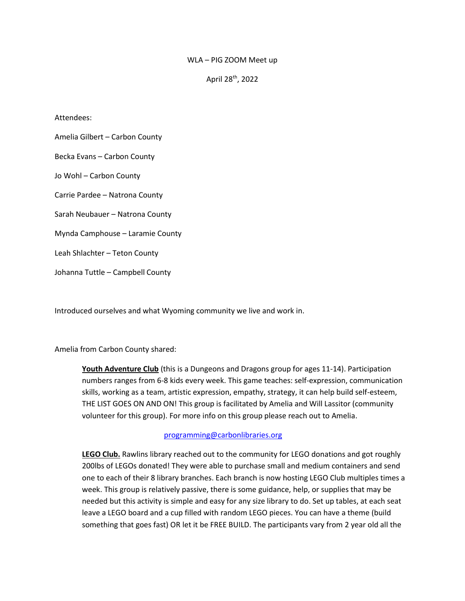## WLA – PIG ZOOM Meet up

April 28th, 2022

### Attendees:

Amelia Gilbert – Carbon County Becka Evans – Carbon County Jo Wohl – Carbon County Carrie Pardee – Natrona County Sarah Neubauer – Natrona County Mynda Camphouse – Laramie County Leah Shlachter – Teton County Johanna Tuttle – Campbell County

Introduced ourselves and what Wyoming community we live and work in.

# Amelia from Carbon County shared:

**Youth Adventure Club** (this is a Dungeons and Dragons group for ages 11-14). Participation numbers ranges from 6-8 kids every week. This game teaches: self-expression, communication skills, working as a team, artistic expression, empathy, strategy, it can help build self-esteem, THE LIST GOES ON AND ON! This group is facilitated by Amelia and Will Lassitor (community volunteer for this group). For more info on this group please reach out to Amelia.

### [programming@carbonlibraries.org](mailto:programming@carbonlibraries.org)

**LEGO Club.** Rawlins library reached out to the community for LEGO donations and got roughly 200lbs of LEGOs donated! They were able to purchase small and medium containers and send one to each of their 8 library branches. Each branch is now hosting LEGO Club multiples times a week. This group is relatively passive, there is some guidance, help, or supplies that may be needed but this activity is simple and easy for any size library to do. Set up tables, at each seat leave a LEGO board and a cup filled with random LEGO pieces. You can have a theme (build something that goes fast) OR let it be FREE BUILD. The participants vary from 2 year old all the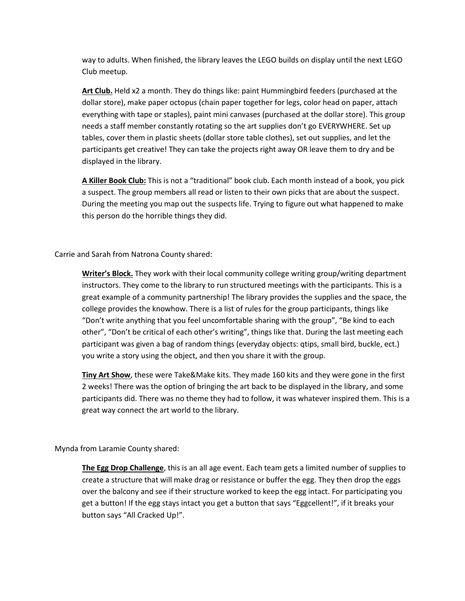way to adults. When finished, the library leaves the LEGO builds on display until the next LEGO Club meetup.

**Art Club.** Held x2 a month. They do things like: paint Hummingbird feeders (purchased at the dollar store), make paper octopus (chain paper together for legs, color head on paper, attach everything with tape or staples), paint mini canvases (purchased at the dollar store). This group needs a staff member constantly rotating so the art supplies don't go EVERYWHERE. Set up tables, cover them in plastic sheets (dollar store table clothes), set out supplies, and let the participants get creative! They can take the projects right away OR leave them to dry and be displayed in the library.

**A Killer Book Club:** This is not a "traditional" book club. Each month instead of a book, you pick a suspect. The group members all read or listen to their own picks that are about the suspect. During the meeting you map out the suspects life. Trying to figure out what happened to make this person do the horrible things they did.

Carrie and Sarah from Natrona County shared:

**Writer's Block.** They work with their local community college writing group/writing department instructors. They come to the library to run structured meetings with the participants. This is a great example of a community partnership! The library provides the supplies and the space, the college provides the knowhow. There is a list of rules for the group participants, things like "Don't write anything that you feel uncomfortable sharing with the group", "Be kind to each other", "Don't be critical of each other's writing", things like that. During the last meeting each participant was given a bag of random things (everyday objects: qtips, small bird, buckle, ect.) you write a story using the object, and then you share it with the group.

**Tiny Art Show**, these were Take&Make kits. They made 160 kits and they were gone in the first 2 weeks! There was the option of bringing the art back to be displayed in the library, and some participants did. There was no theme they had to follow, it was whatever inspired them. This is a great way connect the art world to the library.

Mynda from Laramie County shared:

**The Egg Drop Challenge**, this is an all age event. Each team gets a limited number of supplies to create a structure that will make drag or resistance or buffer the egg. They then drop the eggs over the balcony and see if their structure worked to keep the egg intact. For participating you get a button! If the egg stays intact you get a button that says "Eggcellent!", if it breaks your button says "All Cracked Up!".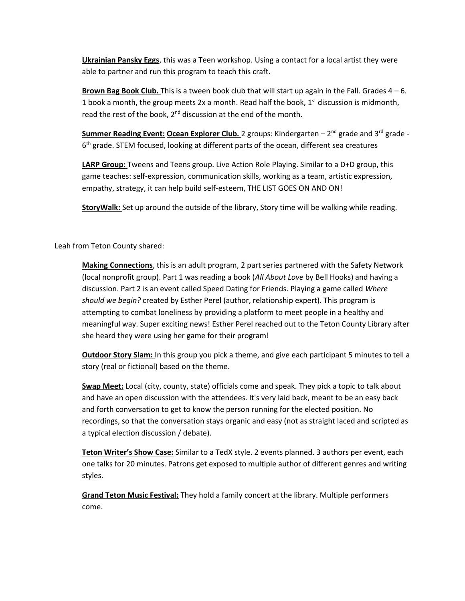**Ukrainian Pansky Eggs**, this was a Teen workshop. Using a contact for a local artist they were able to partner and run this program to teach this craft.

**Brown Bag Book Club.** This is a tween book club that will start up again in the Fall. Grades 4 – 6. 1 book a month, the group meets 2x a month. Read half the book,  $1<sup>st</sup>$  discussion is midmonth, read the rest of the book,  $2^{nd}$  discussion at the end of the month.

**Summer Reading Event: Ocean Explorer Club.** 2 groups: Kindergarten – 2 nd grade and 3rd grade - 6<sup>th</sup> grade. STEM focused, looking at different parts of the ocean, different sea creatures

**LARP Group:** Tweens and Teens group. Live Action Role Playing. Similar to a D+D group, this game teaches: self-expression, communication skills, working as a team, artistic expression, empathy, strategy, it can help build self-esteem, THE LIST GOES ON AND ON!

**StoryWalk:** Set up around the outside of the library, Story time will be walking while reading.

# Leah from Teton County shared:

**Making Connections**, this is an adult program, 2 part series partnered with the Safety Network (local nonprofit group). Part 1 was reading a book (*All About Love* by Bell Hooks) and having a discussion. Part 2 is an event called Speed Dating for Friends. Playing a game called *Where should we begin?* created by Esther Perel (author, relationship expert). This program is attempting to combat loneliness by providing a platform to meet people in a healthy and meaningful way. Super exciting news! Esther Perel reached out to the Teton County Library after she heard they were using her game for their program!

**Outdoor Story Slam:** In this group you pick a theme, and give each participant 5 minutes to tell a story (real or fictional) based on the theme.

**Swap Meet:** Local (city, county, state) officials come and speak. They pick a topic to talk about and have an open discussion with the attendees. It's very laid back, meant to be an easy back and forth conversation to get to know the person running for the elected position. No recordings, so that the conversation stays organic and easy (not as straight laced and scripted as a typical election discussion / debate).

**Teton Writer's Show Case:** Similar to a TedX style. 2 events planned. 3 authors per event, each one talks for 20 minutes. Patrons get exposed to multiple author of different genres and writing styles.

**Grand Teton Music Festival:** They hold a family concert at the library. Multiple performers come.